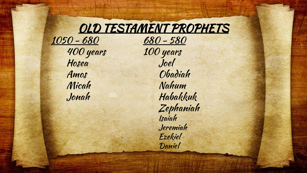## OLD TESTAMENT PROPHETS

400 years Hosea Joel

<u>1050 - 680</u><br>400 years - 100 years Amos Obadiah Micah Nahum Jonah Habakkuk Zephaniah Isaiah Jeremiah Ezekiel Daniel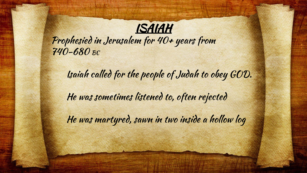

Prophesied in Jerusalem for 40+ years from 740-680 BC

Isaiah called for the people of Judah to obey GOD. He was sometimes listened to, often rejected He was martyred, sawn in two inside a hollow log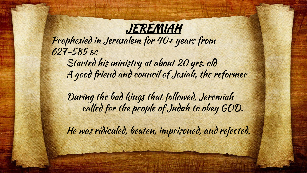

Prophesied in Jerusalem for 40+ years from 627-585 BC Started his ministry at about 20 yrs. old

A good friend and council of Josiah, the reformer

During the bad kings that followed, Jeremiah called for the people of Judah to obey GOD.

He was ridiculed, beaten, imprisoned, and rejected.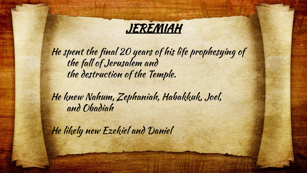

He spent the final 20 years of his life prophesying of the fall of Jerusalem and the destruction of the Temple.

He knew Nahum, Zephaniah, Habakkuk, Joel, and Obadiah

He likely new Ezekiel and Daniel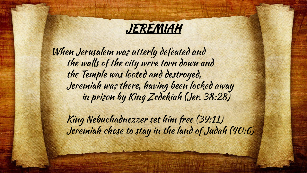

When Jerusalem was utterly defeated and the walls of the city were torn down and the Temple was looted and destroyed, Jeremiah was there, having been locked away in prison by King Zedekiah (Jer. 38:28)

King Nebuchadnezzer set him free (39:11) Jeremiah chose to stay in the land of Judah (40:6)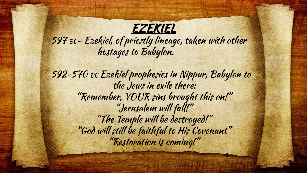

597 BC- Ezekiel, of priestly lineage, taken with other hostages to Babylon.

592-570 BC Ezekiel prophesies in Nippur, Babylon to the Jews in exile there: "Remember, YOUR sins brought this on!" "Jerusalem will fall!" "The Temple will be destroyed!" "God will still be faithful to His Covenant" "Restoration is coming!"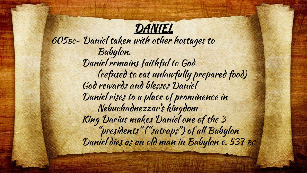## **DANIEL**

605BC- Daniel taken with other hostages to Babylon. Daniel remains faithful to God (refused to eat unlawfully prepared food) God rewards and blesses Daniel Daniel rises to a place of prominence in Nebuchadnezzar's kingdom King Darius makes Daniel one of the 3 "presidents" ("satraps") of all Babylon Daniel dies as an old man in Babylon c. 537 BC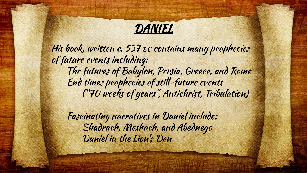## **DANIEL**

His book, written c. 537 BC contains many prophecies of future events including: The futures of Babylon, Persia, Greece, and Rome End times prophecies of still-future events ("70 weeks of years", Antichrist, Tribulation)

Fascinating narratives in Daniel include: Shadrach, Meshach, and Abednego Daniel in the Lion's Den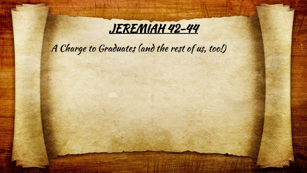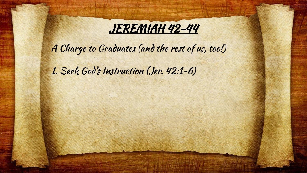

1. Seek God's Instruction (Jer. 42:1-6)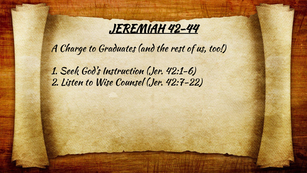

1. Seek God's Instruction (Jer. 42:1-6) 2. Listen to Wise Counsel (Jer. 42:7-22)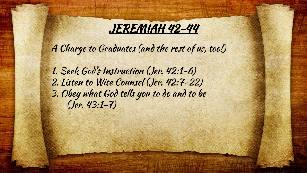

1. Seek God's Instruction (Jer. 42:1-6) 2. Listen to Wise Counsel (Jer. 42:7-22) 3. Obey what God tells you to do and to be (Jer. 43:1-7)